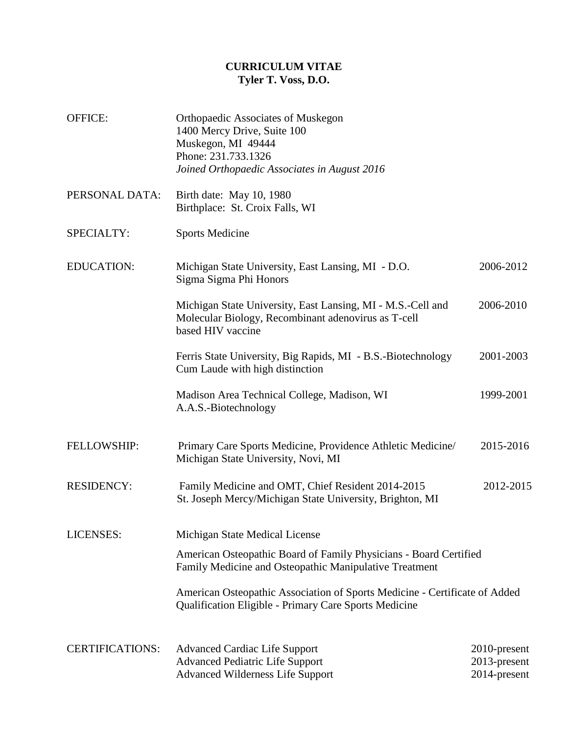## **CURRICULUM VITAE Tyler T. Voss, D.O.**

| <b>OFFICE:</b>         | Orthopaedic Associates of Muskegon<br>1400 Mercy Drive, Suite 100<br>Muskegon, MI 49444<br>Phone: 231.733.1326<br>Joined Orthopaedic Associates in August 2016 |                                              |  |
|------------------------|----------------------------------------------------------------------------------------------------------------------------------------------------------------|----------------------------------------------|--|
| PERSONAL DATA:         | Birth date: May 10, 1980<br>Birthplace: St. Croix Falls, WI                                                                                                    |                                              |  |
| SPECIALTY:             | <b>Sports Medicine</b>                                                                                                                                         |                                              |  |
| <b>EDUCATION:</b>      | Michigan State University, East Lansing, MI - D.O.<br>Sigma Sigma Phi Honors                                                                                   | 2006-2012                                    |  |
|                        | Michigan State University, East Lansing, MI - M.S.-Cell and<br>Molecular Biology, Recombinant adenovirus as T-cell<br>based HIV vaccine                        | 2006-2010                                    |  |
|                        | Ferris State University, Big Rapids, MI - B.S.-Biotechnology<br>Cum Laude with high distinction                                                                | 2001-2003                                    |  |
|                        | Madison Area Technical College, Madison, WI<br>A.A.S.-Biotechnology                                                                                            | 1999-2001                                    |  |
| <b>FELLOWSHIP:</b>     | Primary Care Sports Medicine, Providence Athletic Medicine/<br>Michigan State University, Novi, MI                                                             | 2015-2016                                    |  |
| <b>RESIDENCY:</b>      | Family Medicine and OMT, Chief Resident 2014-2015<br>St. Joseph Mercy/Michigan State University, Brighton, MI                                                  | 2012-2015                                    |  |
| LICENSES:              | Michigan State Medical License                                                                                                                                 |                                              |  |
|                        | American Osteopathic Board of Family Physicians - Board Certified<br>Family Medicine and Osteopathic Manipulative Treatment                                    |                                              |  |
|                        | American Osteopathic Association of Sports Medicine - Certificate of Added<br><b>Qualification Eligible - Primary Care Sports Medicine</b>                     |                                              |  |
| <b>CERTIFICATIONS:</b> | <b>Advanced Cardiac Life Support</b><br><b>Advanced Pediatric Life Support</b><br><b>Advanced Wilderness Life Support</b>                                      | 2010-present<br>2013-present<br>2014-present |  |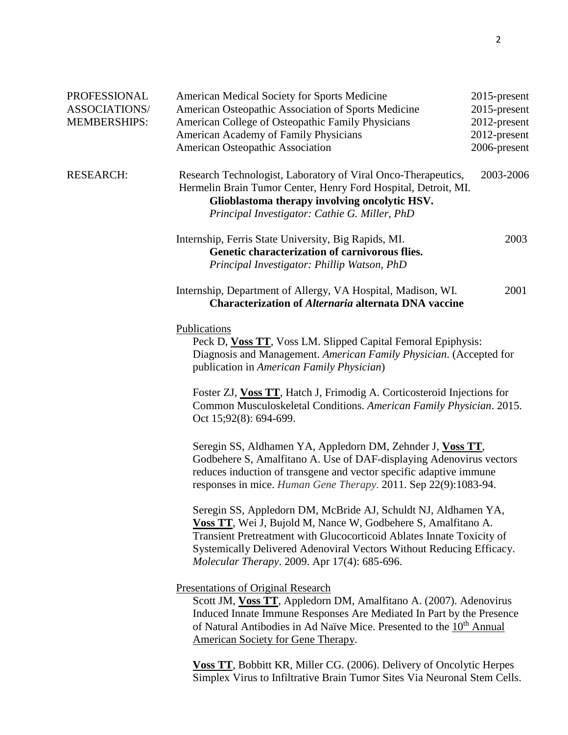| PROFESSIONAL         | American Medical Society for Sports Medicine                                                                                                                                                                                                                                                                                                                               | 2015-present |  |
|----------------------|----------------------------------------------------------------------------------------------------------------------------------------------------------------------------------------------------------------------------------------------------------------------------------------------------------------------------------------------------------------------------|--------------|--|
| <b>ASSOCIATIONS/</b> | American Osteopathic Association of Sports Medicine                                                                                                                                                                                                                                                                                                                        | 2015-present |  |
| <b>MEMBERSHIPS:</b>  | American College of Osteopathic Family Physicians                                                                                                                                                                                                                                                                                                                          | 2012-present |  |
|                      | American Academy of Family Physicians                                                                                                                                                                                                                                                                                                                                      | 2012-present |  |
|                      | American Osteopathic Association                                                                                                                                                                                                                                                                                                                                           | 2006-present |  |
| <b>RESEARCH:</b>     | Research Technologist, Laboratory of Viral Onco-Therapeutics,<br>Hermelin Brain Tumor Center, Henry Ford Hospital, Detroit, MI.<br>Glioblastoma therapy involving oncolytic HSV.<br>Principal Investigator: Cathie G. Miller, PhD                                                                                                                                          | 2003-2006    |  |
|                      | Internship, Ferris State University, Big Rapids, MI.<br>Genetic characterization of carnivorous flies.<br>Principal Investigator: Phillip Watson, PhD                                                                                                                                                                                                                      | 2003         |  |
|                      | Internship, Department of Allergy, VA Hospital, Madison, WI.<br><b>Characterization of Alternaria alternata DNA vaccine</b>                                                                                                                                                                                                                                                | 2001         |  |
|                      | Publications<br>Peck D, Voss TT, Voss LM. Slipped Capital Femoral Epiphysis:<br>Diagnosis and Management. American Family Physician. (Accepted for<br>publication in American Family Physician)<br>Foster ZJ, Voss TT, Hatch J, Frimodig A. Corticosteroid Injections for<br>Common Musculoskeletal Conditions. American Family Physician. 2015.<br>Oct 15;92(8): 694-699. |              |  |
|                      | Seregin SS, Aldhamen YA, Appledorn DM, Zehnder J, Voss TT,<br>Godbehere S, Amalfitano A. Use of DAF-displaying Adenovirus vectors<br>reduces induction of transgene and vector specific adaptive immune<br>responses in mice. Human Gene Therapy. 2011. Sep 22(9):1083-94.                                                                                                 |              |  |
|                      | Seregin SS, Appledorn DM, McBride AJ, Schuldt NJ, Aldhamen YA,<br>Voss TT, Wei J, Bujold M, Nance W, Godbehere S, Amalfitano A.<br>Transient Pretreatment with Glucocorticoid Ablates Innate Toxicity of<br>Systemically Delivered Adenoviral Vectors Without Reducing Efficacy.<br>Molecular Therapy. 2009. Apr 17(4): 685-696.                                           |              |  |
|                      | <b>Presentations of Original Research</b><br>Scott JM, Voss TT, Appledorn DM, Amalfitano A. (2007). Adenovirus<br>Induced Innate Immune Responses Are Mediated In Part by the Presence<br>of Natural Antibodies in Ad Naïve Mice. Presented to the 10 <sup>th</sup> Annual<br>American Society for Gene Therapy.                                                           |              |  |
|                      | <b>Voss TT</b> , Bobbitt KR, Miller CG. (2006). Delivery of Oncolytic Herpes<br>Simplex Virus to Infiltrative Brain Tumor Sites Via Neuronal Stem Cells.                                                                                                                                                                                                                   |              |  |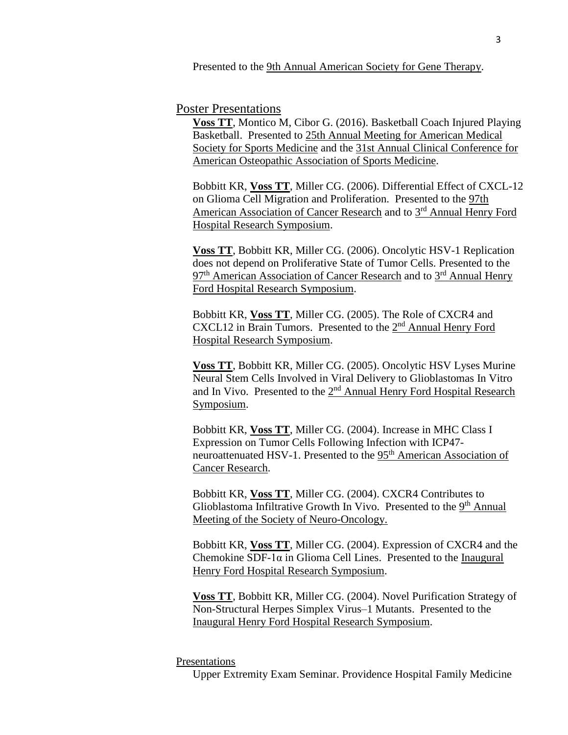Presented to the 9th Annual American Society for Gene Therapy.

## Poster Presentations

**Voss TT**, Montico M, Cibor G. (2016). Basketball Coach Injured Playing Basketball. Presented to 25th Annual Meeting for American Medical Society for Sports Medicine and the 31st Annual Clinical Conference for American Osteopathic Association of Sports Medicine.

Bobbitt KR, **Voss TT**, Miller CG. (2006). Differential Effect of CXCL-12 on Glioma Cell Migration and Proliferation. Presented to the 97th American Association of Cancer Research and to 3<sup>rd</sup> Annual Henry Ford Hospital Research Symposium.

**Voss TT**, Bobbitt KR, Miller CG. (2006). Oncolytic HSV-1 Replication does not depend on Proliferative State of Tumor Cells. Presented to the 97<sup>th</sup> American Association of Cancer Research and to 3<sup>rd</sup> Annual Henry Ford Hospital Research Symposium.

Bobbitt KR, **Voss TT**, Miller CG. (2005). The Role of CXCR4 and CXCL12 in Brain Tumors. Presented to the 2<sup>nd</sup> Annual Henry Ford Hospital Research Symposium.

**Voss TT**, Bobbitt KR, Miller CG. (2005). Oncolytic HSV Lyses Murine Neural Stem Cells Involved in Viral Delivery to Glioblastomas In Vitro and In Vivo. Presented to the 2<sup>nd</sup> Annual Henry Ford Hospital Research Symposium.

Bobbitt KR, **Voss TT**, Miller CG. (2004). Increase in MHC Class I Expression on Tumor Cells Following Infection with ICP47 neuroattenuated HSV-1. Presented to the 95<sup>th</sup> American Association of Cancer Research.

Bobbitt KR, **Voss TT**, Miller CG. (2004). CXCR4 Contributes to Glioblastoma Infiltrative Growth In Vivo. Presented to the 9<sup>th</sup> Annual Meeting of the Society of Neuro-Oncology.

Bobbitt KR, **Voss TT**, Miller CG. (2004). Expression of CXCR4 and the Chemokine SDF-1 $\alpha$  in Glioma Cell Lines. Presented to the Inaugural Henry Ford Hospital Research Symposium.

**Voss TT**, Bobbitt KR, Miller CG. (2004). Novel Purification Strategy of Non-Structural Herpes Simplex Virus–1 Mutants. Presented to the Inaugural Henry Ford Hospital Research Symposium.

## Presentations

Upper Extremity Exam Seminar. Providence Hospital Family Medicine